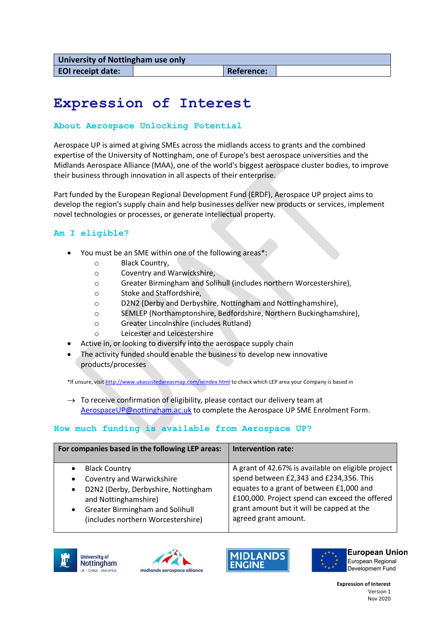# **Expression of Interest**

#### **About Aerospace Unlocking Potential**

Aerospace UP is aimed at giving SMEs across the midlands access to grants and the combined expertise of the University of Nottingham, one of Europe's best aerospace universities and the Midlands Aerospace Alliance (MAA), one of the world's biggest aerospace cluster bodies, to improve their business through innovation in all aspects of their enterprise.

Part funded by the European Regional Development Fund (ERDF), Aerospace UP project aims to develop the region's supply chain and help businesses deliver new products or services, implement novel technologies or processes, or generate intellectual property.

#### **Am I eligible?**

- You must be an SME within one of the following areas\*:
	- o Black Country,
	- o Coventry and Warwickshire,
	- o Greater Birmingham and Solihull (includes northern Worcestershire),
	- o Stoke and Staffordshire,
	- o D2N2 (Derby and Derbyshire, Nottingham and Nottinghamshire),
	- o SEMLEP (Northamptonshire, Bedfordshire, Northern Buckinghamshire),
	- o Greater Lincolnshire (includes Rutland)
	- o Leicester and Leicestershire
- Active in, or looking to diversify into the aerospace supply chain
- The activity funded should enable the business to develop new innovative products/processes

\*If unsure, visi[t http://www.ukassistedareasmap.com/ieindex.html](http://www.ukassistedareasmap.com/ieindex.html) to check which LEP area your Company is based in

 $\rightarrow$  To receive confirmation of eligibility, please contact our delivery team at [AerospaceUP@nottingham.ac.uk](mailto:AerospaceUP@nottingham.ac.uk) to complete the Aerospace UP SME Enrolment Form.

# **How much funding is available from Aerospace UP?**

| For companies based in the following LEP areas:                                                                                                                       | <b>Intervention rate:</b>                                                                                                                                       |
|-----------------------------------------------------------------------------------------------------------------------------------------------------------------------|-----------------------------------------------------------------------------------------------------------------------------------------------------------------|
| <b>Black Country</b><br>$\bullet$<br><b>Coventry and Warwickshire</b><br>$\bullet$                                                                                    | A grant of 42.67% is available on eligible project<br>spend between £2,343 and £234,356. This                                                                   |
| D2N2 (Derby, Derbyshire, Nottingham<br>$\bullet$<br>and Nottinghamshire)<br><b>Greater Birmingham and Solihull</b><br>$\bullet$<br>(includes northern Worcestershire) | equates to a grant of between £1,000 and<br>£100,000. Project spend can exceed the offered<br>grant amount but it will be capped at the<br>agreed grant amount. |









**European Union** European Regional Development Fund

**Expression of Interest** Version 1 Nov 2020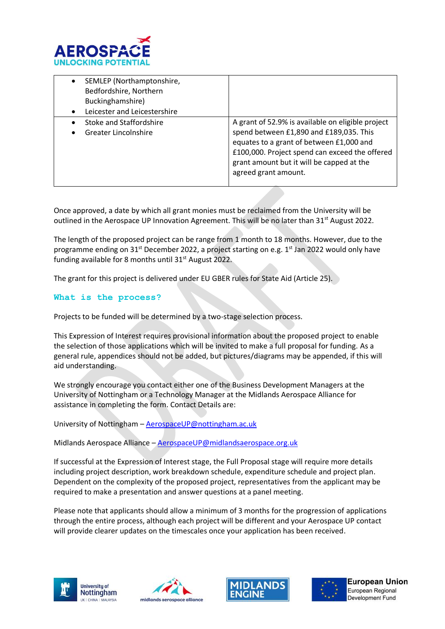

| SEMLEP (Northamptonshire,<br>$\bullet$<br>Bedfordshire, Northern<br>Buckinghamshire)<br>Leicester and Leicestershire<br>$\bullet$ |                                                                                                                                                                                                                                                                 |
|-----------------------------------------------------------------------------------------------------------------------------------|-----------------------------------------------------------------------------------------------------------------------------------------------------------------------------------------------------------------------------------------------------------------|
| Stoke and Staffordshire<br>Greater Lincolnshire<br>٠                                                                              | A grant of 52.9% is available on eligible project<br>spend between £1,890 and £189,035. This<br>equates to a grant of between £1,000 and<br>£100,000. Project spend can exceed the offered<br>grant amount but it will be capped at the<br>agreed grant amount. |

Once approved, a date by which all grant monies must be reclaimed from the University will be outlined in the Aerospace UP Innovation Agreement. This will be no later than  $31<sup>st</sup>$  August 2022.

The length of the proposed project can be range from 1 month to 18 months. However, due to the programme ending on 31<sup>st</sup> December 2022, a project starting on e.g. 1<sup>st</sup> Jan 2022 would only have funding available for 8 months until  $31<sup>st</sup>$  August 2022.

The grant for this project is delivered under EU GBER rules for State Aid (Article 25).

#### **What is the process?**

Projects to be funded will be determined by a two-stage selection process.

This Expression of Interest requires provisional information about the proposed project to enable the selection of those applications which will be invited to make a full proposal for funding. As a general rule, appendices should not be added, but pictures/diagrams may be appended, if this will aid understanding.

We strongly encourage you contact either one of the Business Development Managers at the University of Nottingham or a Technology Manager at the Midlands Aerospace Alliance for assistance in completing the form. Contact Details are:

University of Nottingham – [AerospaceUP@nottingham.ac.uk](mailto:AerospaceUP@nottingham.ac.uk)

Midlands Aerospace Alliance – [AerospaceUP@midlandsaerospace.org.uk](mailto:AerospaceUP@midlandsaerospace.org.uk)

If successful at the Expression of Interest stage, the Full Proposal stage will require more details including project description, work breakdown schedule, expenditure schedule and project plan. Dependent on the complexity of the proposed project, representatives from the applicant may be required to make a presentation and answer questions at a panel meeting.

Please note that applicants should allow a minimum of 3 months for the progression of applications through the entire process, although each project will be different and your Aerospace UP contact will provide clearer updates on the timescales once your application has been received.







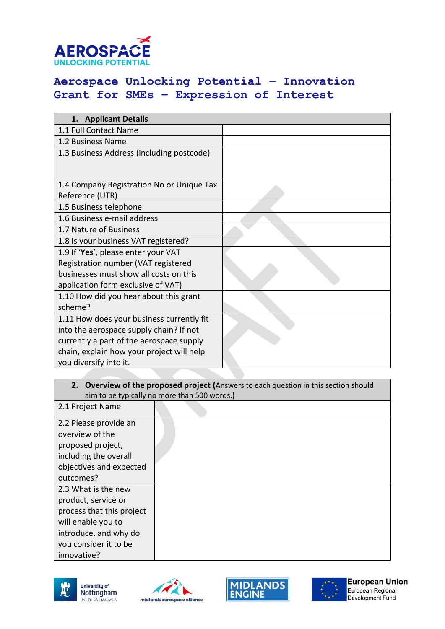

# **Aerospace Unlocking Potential – Innovation Grant for SMEs – Expression of Interest**

| 1. Applicant Details                      |  |  |  |
|-------------------------------------------|--|--|--|
| 1.1 Full Contact Name                     |  |  |  |
| 1.2 Business Name                         |  |  |  |
| 1.3 Business Address (including postcode) |  |  |  |
|                                           |  |  |  |
| 1.4 Company Registration No or Unique Tax |  |  |  |
| Reference (UTR)                           |  |  |  |
| 1.5 Business telephone                    |  |  |  |
| 1.6 Business e-mail address               |  |  |  |
| 1.7 Nature of Business                    |  |  |  |
| 1.8 Is your business VAT registered?      |  |  |  |
| 1.9 If 'Yes', please enter your VAT       |  |  |  |
| Registration number (VAT registered       |  |  |  |
| businesses must show all costs on this    |  |  |  |
| application form exclusive of VAT)        |  |  |  |
| 1.10 How did you hear about this grant    |  |  |  |
| scheme?                                   |  |  |  |
| 1.11 How does your business currently fit |  |  |  |
| into the aerospace supply chain? If not   |  |  |  |
| currently a part of the aerospace supply  |  |  |  |
| chain, explain how your project will help |  |  |  |
| you diversify into it.                    |  |  |  |

#### **2. Overview of the proposed project (**Answers to each question in this section should aim to be typically no more than 500 words.**)**

| 2.1 Project Name          |  |
|---------------------------|--|
| 2.2 Please provide an     |  |
| overview of the           |  |
| proposed project,         |  |
| including the overall     |  |
| objectives and expected   |  |
| outcomes?                 |  |
| 2.3 What is the new       |  |
| product, service or       |  |
| process that this project |  |
| will enable you to        |  |
| introduce, and why do     |  |
| you consider it to be     |  |
| innovative?               |  |







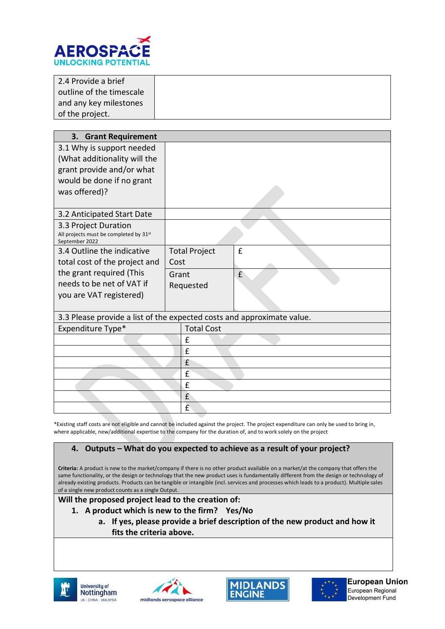

| 2.4 Provide a brief      |
|--------------------------|
| outline of the timescale |
| and any key milestones   |
| of the project.          |

| 3. Grant Requirement                                                   |                      |   |  |
|------------------------------------------------------------------------|----------------------|---|--|
| 3.1 Why is support needed                                              |                      |   |  |
| (What additionality will the                                           |                      |   |  |
| grant provide and/or what                                              |                      |   |  |
| would be done if no grant                                              |                      |   |  |
| was offered)?                                                          |                      |   |  |
|                                                                        |                      |   |  |
| 3.2 Anticipated Start Date                                             |                      |   |  |
| 3.3 Project Duration<br>All projects must be completed by 31st         |                      |   |  |
| September 2022                                                         |                      |   |  |
| 3.4 Outline the indicative                                             | <b>Total Project</b> | £ |  |
| total cost of the project and                                          | Cost                 |   |  |
| the grant required (This                                               | Grant                | £ |  |
| needs to be net of VAT if                                              | Requested            |   |  |
| you are VAT registered)                                                |                      |   |  |
|                                                                        |                      |   |  |
| 3.3 Please provide a list of the expected costs and approximate value. |                      |   |  |
| Expenditure Type*                                                      | <b>Total Cost</b>    |   |  |
|                                                                        | £                    |   |  |
|                                                                        | £                    |   |  |
|                                                                        | £                    |   |  |
|                                                                        | £                    |   |  |
|                                                                        | £                    |   |  |
|                                                                        | £                    |   |  |
|                                                                        | £                    |   |  |

\*Existing staff costs are not eligible and cannot be included against the project. The project expenditure can only be used to bring in, where applicable, new/additional expertise to the company for the duration of, and to work solely on the project

#### **4. Outputs – What do you expected to achieve as a result of your project?**

**Criteria:** A product is new to the market/company if there is no other product available on a market/at the company that offers the same functionality, or the design or technology that the new product uses is fundamentally different from the design or technology of already existing products. Products can be tangible or intangible (incl. services and processes which leads to a product). Multiple sales of a single new product counts as a single Output.

**Will the proposed project lead to the creation of:**

- **1. A product which is new to the firm? Yes/No**
	- **a. If yes, please provide a brief description of the new product and how it fits the criteria above.**









**European Union** European Regional Development Fund